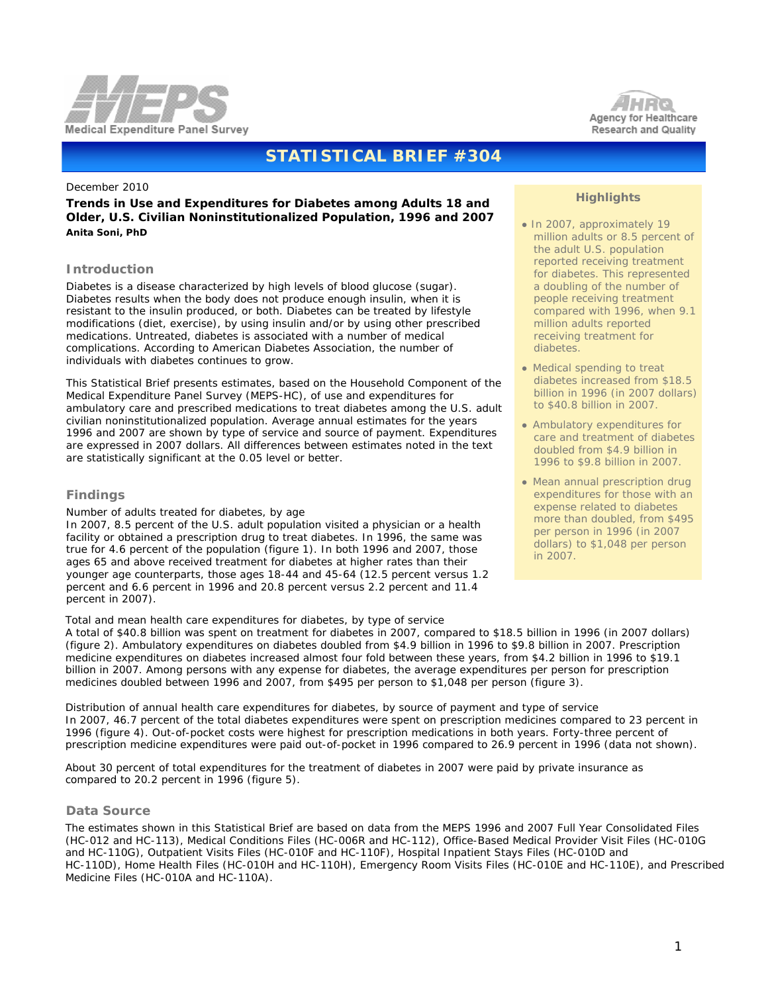



## **STATISTICAL BRIEF #304**

#### December 2010

**Trends in Use and Expenditures for Diabetes among Adults 18 and Older, U.S. Civilian Noninstitutionalized Population, 1996 and 2007** *Anita Soni, PhD* 

#### **Introduction**

Diabetes is a disease characterized by high levels of blood glucose (sugar). Diabetes results when the body does not produce enough insulin, when it is resistant to the insulin produced, or both. Diabetes can be treated by lifestyle modifications (diet, exercise), by using insulin and/or by using other prescribed medications. Untreated, diabetes is associated with a number of medical complications. According to American Diabetes Association, the number of individuals with diabetes continues to grow.

This Statistical Brief presents estimates, based on the Household Component of the Medical Expenditure Panel Survey (MEPS-HC), of use and expenditures for ambulatory care and prescribed medications to treat diabetes among the U.S. adult civilian noninstitutionalized population. Average annual estimates for the years 1996 and 2007 are shown by type of service and source of payment. Expenditures are expressed in 2007 dollars. All differences between estimates noted in the text are statistically significant at the 0.05 level or better.

#### **Findings**

#### *Number of adults treated for diabetes, by age*

In 2007, 8.5 percent of the U.S. adult population visited a physician or a health facility or obtained a prescription drug to treat diabetes. In 1996, the same was true for 4.6 percent of the population (figure 1). In both 1996 and 2007, those ages 65 and above received treatment for diabetes at higher rates than their younger age counterparts, those ages 18-44 and 45-64 (12.5 percent versus 1.2 percent and 6.6 percent in 1996 and 20.8 percent versus 2.2 percent and 11.4 percent in 2007).

#### *Total and mean health care expenditures for diabetes, by type of service*

# ● In 2007, approximately 19

**Highlights**

- million adults or 8.5 percent of the adult U.S. population reported receiving treatment for diabetes. This represented a doubling of the number of people receiving treatment compared with 1996, when 9.1 million adults reported receiving treatment for diabetes.
- Medical spending to treat diabetes increased from \$18.5 billion in 1996 (in 2007 dollars) to \$40.8 billion in 2007.
- Ambulatory expenditures for care and treatment of diabetes doubled from \$4.9 billion in 1996 to \$9.8 billion in 2007.
- Mean annual prescription drug expenditures for those with an expense related to diabetes more than doubled, from \$495 per person in 1996 (in 2007 dollars) to \$1,048 per person in 2007.

 A total of \$40.8 billion was spent on treatment for diabetes in 2007, compared to \$18.5 billion in 1996 (in 2007 dollars) (figure 2). Ambulatory expenditures on diabetes doubled from \$4.9 billion in 1996 to \$9.8 billion in 2007. Prescription medicine expenditures on diabetes increased almost four fold between these years, from \$4.2 billion in 1996 to \$19.1 billion in 2007. Among persons with any expense for diabetes, the average expenditures per person for prescription medicines doubled between 1996 and 2007, from \$495 per person to \$1,048 per person (figure 3).

*Distribution of annual health care expenditures for diabetes, by source of payment and type of service* In 2007, 46.7 percent of the total diabetes expenditures were spent on prescription medicines compared to 23 percent in 1996 (figure 4). Out-of-pocket costs were highest for prescription medications in both years. Forty-three percent of prescription medicine expenditures were paid out-of-pocket in 1996 compared to 26.9 percent in 1996 (data not shown).

 About 30 percent of total expenditures for the treatment of diabetes in 2007 were paid by private insurance as compared to 20.2 percent in 1996 (figure 5).

#### **Data Source**

 The estimates shown in this Statistical Brief are based on data from the MEPS 1996 and 2007 Full Year Consolidated Files (HC-012 and HC-113), Medical Conditions Files (HC-006R and HC-112), Office-Based Medical Provider Visit Files (HC-010G and HC-110G), Outpatient Visits Files (HC-010F and HC-110F), Hospital Inpatient Stays Files (HC-010D and HC-110D), Home Health Files (HC-010H and HC-110H), Emergency Room Visits Files (HC-010E and HC-110E), and Prescribed Medicine Files (HC-010A and HC-110A).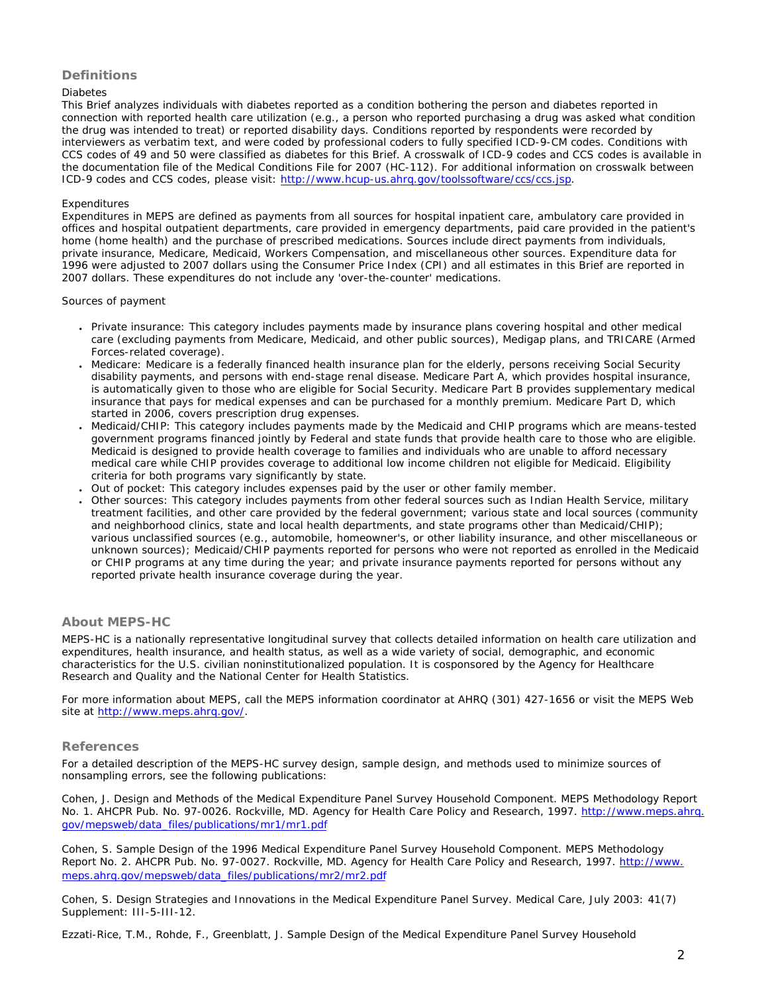## **Definitions**

#### *Diabetes*

This Brief analyzes individuals with diabetes reported as a condition bothering the person and diabetes reported in connection with reported health care utilization (e.g., a person who reported purchasing a drug was asked what condition the drug was intended to treat) or reported disability days. Conditions reported by respondents were recorded by interviewers as verbatim text, and were coded by professional coders to fully specified ICD-9-CM codes. Conditions with CCS codes of 49 and 50 were classified as diabetes for this Brief. A crosswalk of ICD-9 codes and CCS codes is available in the documentation file of the Medical Conditions File for 2007 (HC-112). For additional information on crosswalk between ICD-9 codes and CCS codes, please visit: [http://www.hcup-us.ahrq.gov/toolssoftware/ccs/ccs.jsp.](http://www.hcup-us.ahrq.gov/toolssoftware/ccs/ccs.jsp)

#### *Expenditures*

Expenditures in MEPS are defined as payments from all sources for hospital inpatient care, ambulatory care provided in offices and hospital outpatient departments, care provided in emergency departments, paid care provided in the patient's home (home health) and the purchase of prescribed medications. Sources include direct payments from individuals, private insurance, Medicare, Medicaid, Workers Compensation, and miscellaneous other sources. Expenditure data for 1996 were adjusted to 2007 dollars using the Consumer Price Index (CPI) and all estimates in this Brief are reported in 2007 dollars. These expenditures do not include any 'over-the-counter' medications.

#### *Sources of payment*

- Private insurance: This category includes payments made by insurance plans covering hospital and other medical care (excluding payments from Medicare, Medicaid, and other public sources), Medigap plans, and TRICARE (Armed Forces-related coverage).
- Medicare: Medicare is a federally financed health insurance plan for the elderly, persons receiving Social Security disability payments, and persons with end-stage renal disease. Medicare Part A, which provides hospital insurance, is automatically given to those who are eligible for Social Security. Medicare Part B provides supplementary medical insurance that pays for medical expenses and can be purchased for a monthly premium. Medicare Part D, which started in 2006, covers prescription drug expenses.
- Medicaid/CHIP: This category includes payments made by the Medicaid and CHIP programs which are means-tested government programs financed jointly by Federal and state funds that provide health care to those who are eligible. Medicaid is designed to provide health coverage to families and individuals who are unable to afford necessary medical care while CHIP provides coverage to additional low income children not eligible for Medicaid. Eligibility criteria for both programs vary significantly by state.
- Out of pocket: This category includes expenses paid by the user or other family member.
- Other sources: This category includes payments from other federal sources such as Indian Health Service, military treatment facilities, and other care provided by the federal government; various state and local sources (community and neighborhood clinics, state and local health departments, and state programs other than Medicaid/CHIP); various unclassified sources (e.g., automobile, homeowner's, or other liability insurance, and other miscellaneous or unknown sources); Medicaid/CHIP payments reported for persons who were not reported as enrolled in the Medicaid or CHIP programs at any time during the year; and private insurance payments reported for persons without any reported private health insurance coverage during the year.

### **About MEPS-HC**

MEPS-HC is a nationally representative longitudinal survey that collects detailed information on health care utilization and expenditures, health insurance, and health status, as well as a wide variety of social, demographic, and economic characteristics for the U.S. civilian noninstitutionalized population. It is cosponsored by the Agency for Healthcare Research and Quality and the National Center for Health Statistics.

For more information about MEPS, call the MEPS information coordinator at AHRQ (301) 427-1656 or visit the MEPS Web site at <http://www.meps.ahrq.gov/>.

#### **References**

For a detailed description of the MEPS-HC survey design, sample design, and methods used to minimize sources of nonsampling errors, see the following publications:

Cohen, J. *Design and Methods of the Medical Expenditure Panel Survey Household Component*. MEPS Methodology Report No. 1. AHCPR Pub. No. 97-0026. Rockville, MD. Agency for Health Care Policy and Research, 1997. [http://www.meps.ahrq.](http://www.meps.ahrq.gov/mepsweb/data_files/publications/mr1/mr1.pdf) [gov/mepsweb/data\\_files/publications/mr1/mr1.pdf](http://www.meps.ahrq.gov/mepsweb/data_files/publications/mr1/mr1.pdf)

Cohen, S. *Sample Design of the 1996 Medical Expenditure Panel Survey Household Component*. MEPS Methodology Report No. 2. AHCPR Pub. No. 97-0027. Rockville, MD. Agency for Health Care Policy and Research, 1997. [http://www.](http://www.meps.ahrq.gov/mepsweb/data_files/publications/mr2/mr2.pdf) [meps.ahrq.gov/mepsweb/data\\_files/publications/mr2/mr2.pdf](http://www.meps.ahrq.gov/mepsweb/data_files/publications/mr2/mr2.pdf)

Cohen, S. Design Strategies and Innovations in the Medical Expenditure Panel Survey. *Medical Care*, July 2003: 41(7) Supplement: III-5-III-12.

Ezzati-Rice, T.M., Rohde, F., Greenblatt, J. *Sample Design of the Medical Expenditure Panel Survey Household*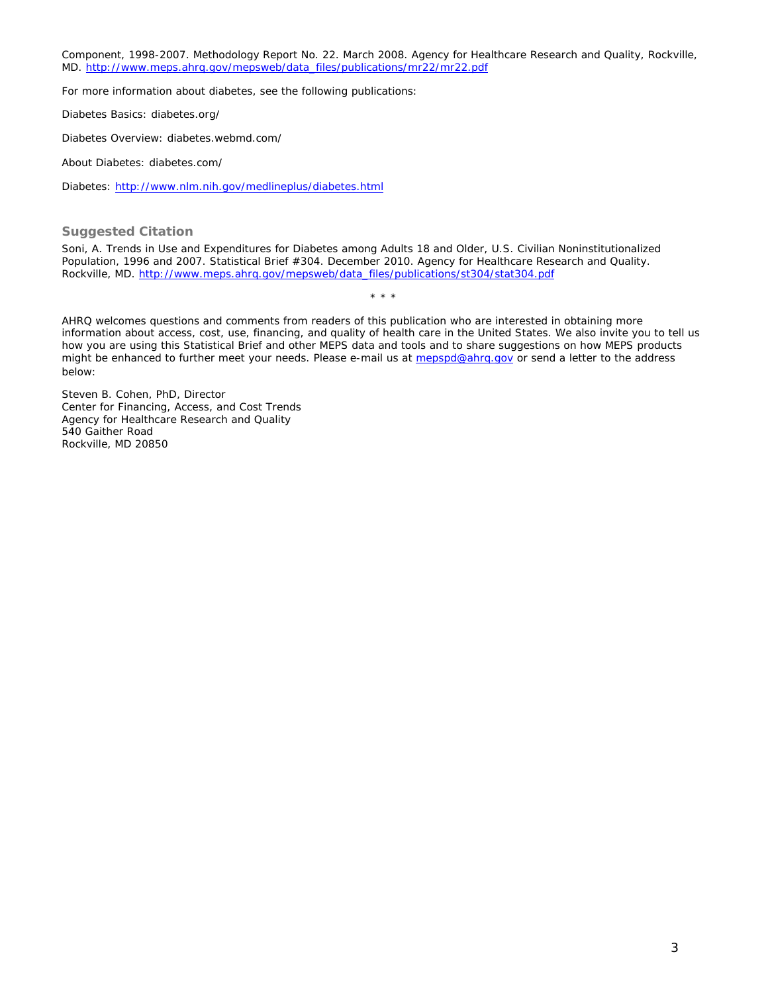*Component, 1998-2007*. Methodology Report No. 22. March 2008. Agency for Healthcare Research and Quality, Rockville, MD. [http://www.meps.ahrq.gov/mepsweb/data\\_files/publications/mr22/mr22.pdf](http://www.meps.ahrq.gov/mepsweb/data_files/publications/mr22/mr22.pdf)

For more information about diabetes, see the following publications:

Diabetes Basics: diabetes.org/

Diabetes Overview: diabetes.webmd.com/

About Diabetes: diabetes.com/

Diabetes: <http://www.nlm.nih.gov/medlineplus/diabetes.html>

**Suggested Citation**

Soni, A. *Trends in Use and Expenditures for Diabetes among Adults 18 and Older, U.S. Civilian Noninstitutionalized Population, 1996 and 2007*. Statistical Brief #304. December 2010. Agency for Healthcare Research and Quality. Rockville, MD. [http://www.meps.ahrq.gov/mepsweb/data\\_files/publications/st304/stat304.pdf](http://www.meps.ahrq.gov/mepsweb/data_files/publications/st304/stat304.pdf)

\* \* \*

AHRQ welcomes questions and comments from readers of this publication who are interested in obtaining more information about access, cost, use, financing, and quality of health care in the United States. We also invite you to tell us how you are using this Statistical Brief and other MEPS data and tools and to share suggestions on how MEPS products might be enhanced to further meet your needs. Please e-mail us at [mepspd@ahrq.gov](mailto:mepspd@ahrq.gov) or send a letter to the address below:

Steven B. Cohen, PhD, Director Center for Financing, Access, and Cost Trends Agency for Healthcare Research and Quality 540 Gaither Road Rockville, MD 20850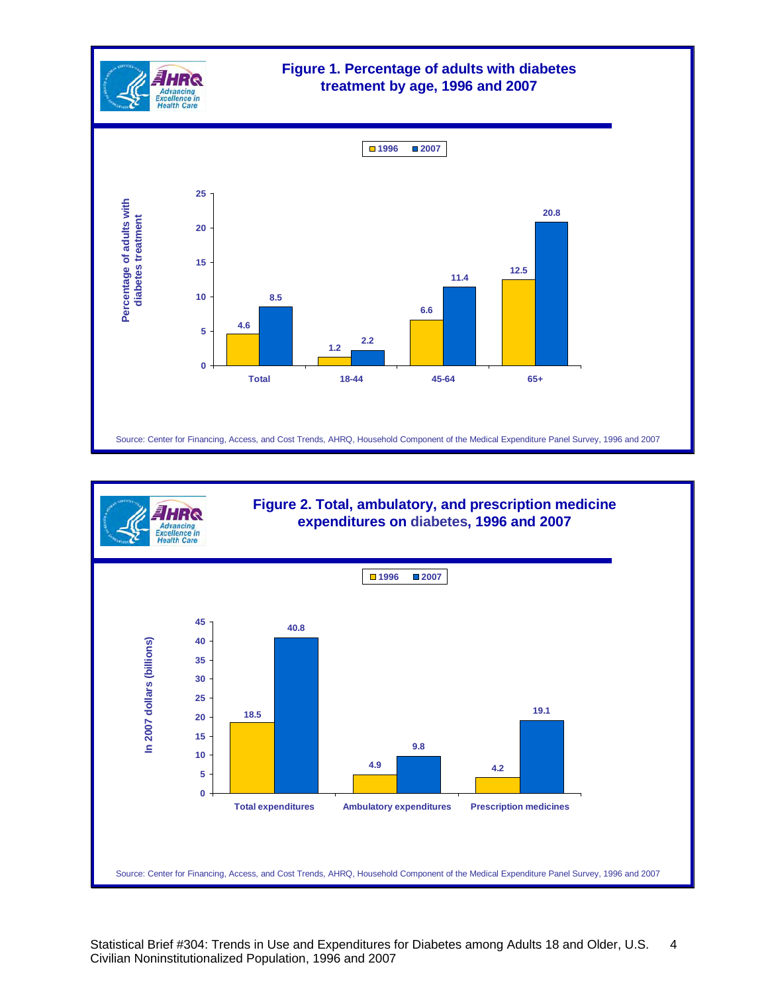



Statistical Brief #304: Trends in Use and Expenditures for Diabetes among Adults 18 and Older, U.S. Civilian Noninstitutionalized Population, 1996 and 2007 4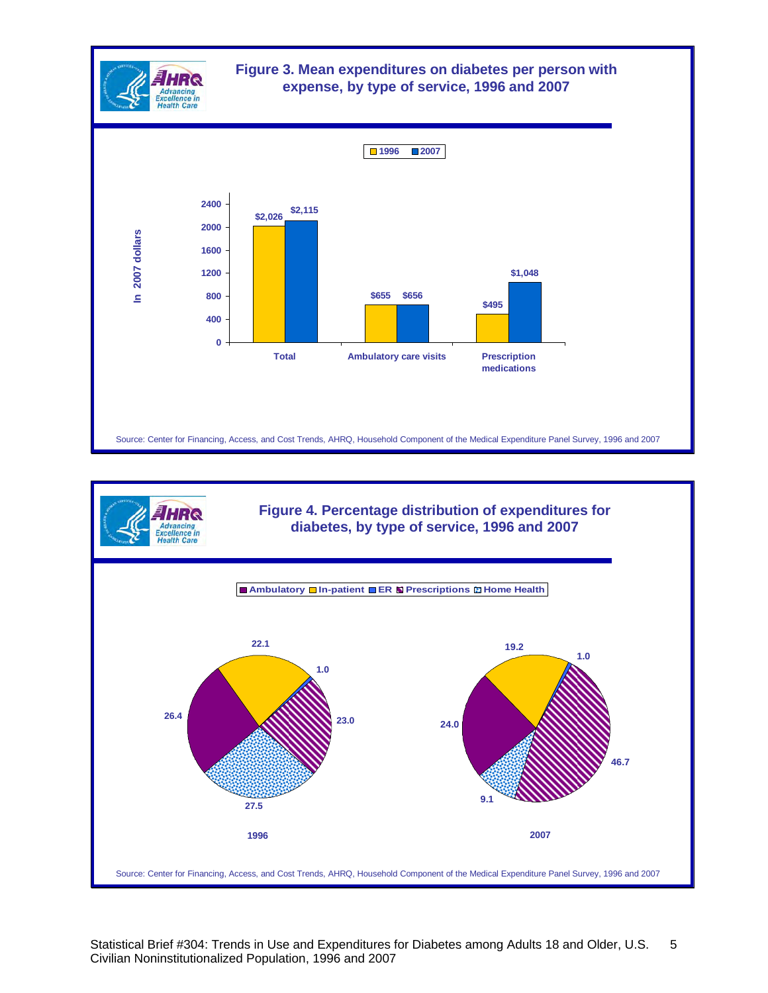



Statistical Brief #304: Trends in Use and Expenditures for Diabetes among Adults 18 and Older, U.S. Civilian Noninstitutionalized Population, 1996 and 2007 5